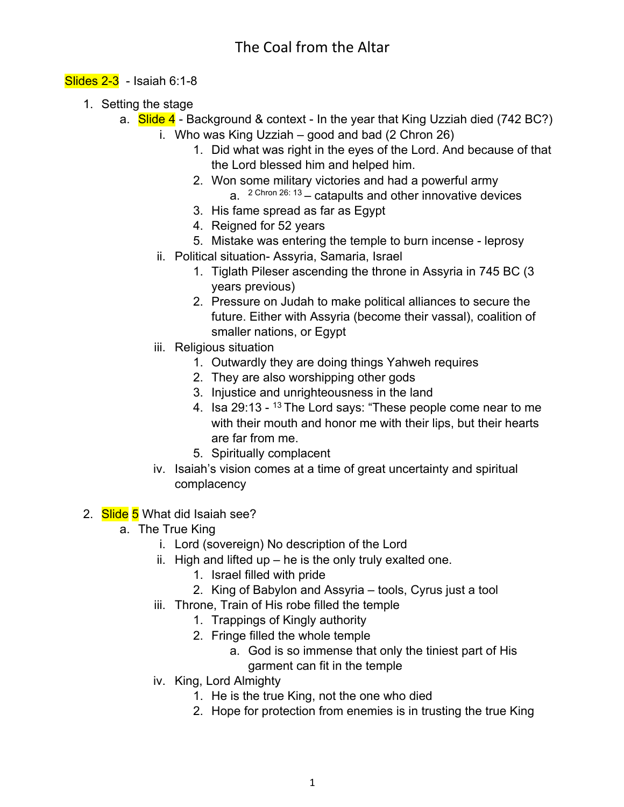#### Slides 2-3 - Isaiah 6:1-8

- 1. Setting the stage
	- a.  $\frac{\text{Side } 4}{\text{Date }}$  Background & context In the year that King Uzziah died (742 BC?)
		- i. Who was King Uzziah good and bad (2 Chron 26)
			- 1. Did what was right in the eyes of the Lord. And because of that the Lord blessed him and helped him.
			- 2. Won some military victories and had a powerful army a.  $2$  Chron  $26: 13$  – catapults and other innovative devices
			- 3. His fame spread as far as Egypt
			- 4. Reigned for 52 years
			- 5. Mistake was entering the temple to burn incense leprosy
		- ii. Political situation- Assyria, Samaria, Israel
			- 1. Tiglath Pileser ascending the throne in Assyria in 745 BC (3 years previous)
			- 2. Pressure on Judah to make political alliances to secure the future. Either with Assyria (become their vassal), coalition of smaller nations, or Egypt
		- iii. Religious situation
			- 1. Outwardly they are doing things Yahweh requires
			- 2. They are also worshipping other gods
			- 3. Injustice and unrighteousness in the land
			- 4. Isa 29:13 <sup>13</sup> The Lord says: "These people come near to me with their mouth and honor me with their lips, but their hearts are far from me.
			- 5. Spiritually complacent
		- iv. Isaiah's vision comes at a time of great uncertainty and spiritual complacency
- 2. Slide 5 What did Isaiah see?
	- a. The True King
		- i. Lord (sovereign) No description of the Lord
		- ii. High and lifted up he is the only truly exalted one.
			- 1. Israel filled with pride
			- 2. King of Babylon and Assyria tools, Cyrus just a tool
		- iii. Throne, Train of His robe filled the temple
			- 1. Trappings of Kingly authority
			- 2. Fringe filled the whole temple
				- a. God is so immense that only the tiniest part of His garment can fit in the temple
		- iv. King, Lord Almighty
			- 1. He is the true King, not the one who died
			- 2. Hope for protection from enemies is in trusting the true King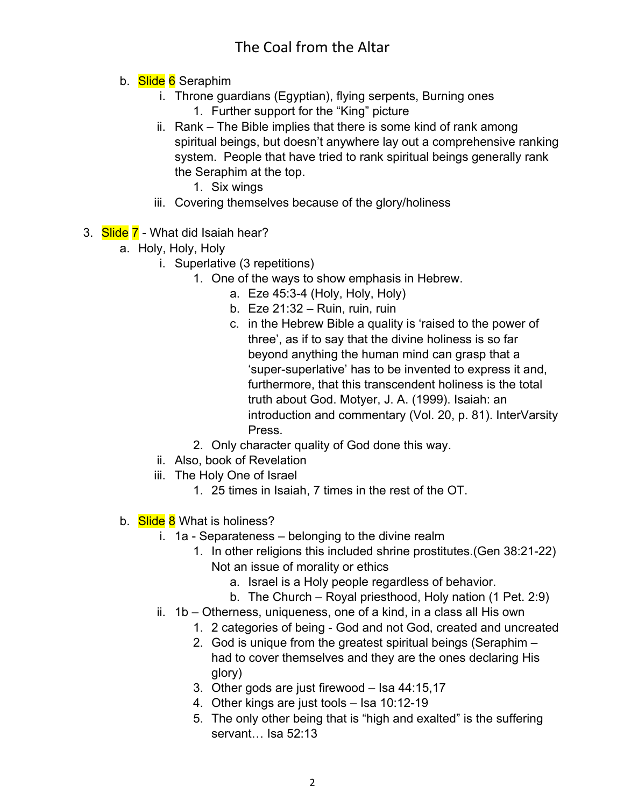# The Coal from the Altar

- b. Slide 6 Seraphim
	- i. Throne guardians (Egyptian), flying serpents, Burning ones 1. Further support for the "King" picture
	- ii. Rank The Bible implies that there is some kind of rank among spiritual beings, but doesn't anywhere lay out a comprehensive ranking system. People that have tried to rank spiritual beings generally rank the Seraphim at the top.
		- 1. Six wings
	- iii. Covering themselves because of the glory/holiness
- 3. Slide 7 What did Isaiah hear?
	- a. Holy, Holy, Holy
		- i. Superlative (3 repetitions)
			- 1. One of the ways to show emphasis in Hebrew.
				- a. Eze 45:3-4 (Holy, Holy, Holy)
				- b. Eze 21:32 Ruin, ruin, ruin
				- c. in the Hebrew Bible a quality is 'raised to the power of three', as if to say that the divine holiness is so far beyond anything the human mind can grasp that a 'super-superlative' has to be invented to express it and, furthermore, that this transcendent holiness is the total truth about God. Motyer, J. A. (1999). Isaiah: an introduction and commentary (Vol. 20, p. 81). InterVarsity Press.
				- 2. Only character quality of God done this way.
		- ii. Also, book of Revelation
		- iii. The Holy One of Israel
			- 1. 25 times in Isaiah, 7 times in the rest of the OT.
	- b. Slide 8 What is holiness?
		- i. 1a Separateness belonging to the divine realm
			- 1. In other religions this included shrine prostitutes.(Gen 38:21-22) Not an issue of morality or ethics
				- a. Israel is a Holy people regardless of behavior.
				- b. The Church Royal priesthood, Holy nation (1 Pet. 2:9)
		- ii. 1b Otherness, uniqueness, one of a kind, in a class all His own
			- 1. 2 categories of being God and not God, created and uncreated
			- 2. God is unique from the greatest spiritual beings (Seraphim had to cover themselves and they are the ones declaring His glory)
			- 3. Other gods are just firewood Isa 44:15,17
			- 4. Other kings are just tools Isa 10:12-19
			- 5. The only other being that is "high and exalted" is the suffering servant… Isa 52:13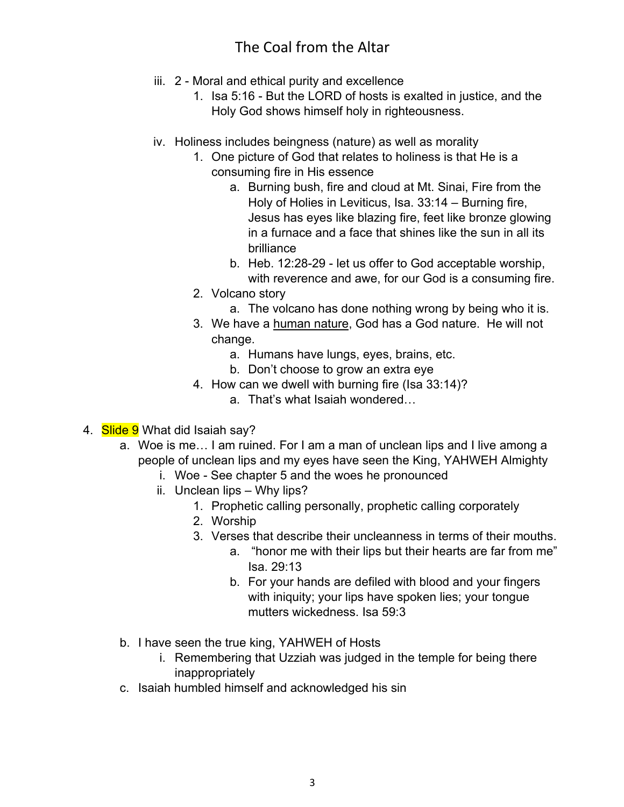### The Coal from the Altar

- iii. 2 Moral and ethical purity and excellence
	- 1. Isa 5:16 But the LORD of hosts is exalted in justice, and the Holy God shows himself holy in righteousness.
- iv. Holiness includes beingness (nature) as well as morality
	- 1. One picture of God that relates to holiness is that He is a consuming fire in His essence
		- a. Burning bush, fire and cloud at Mt. Sinai, Fire from the Holy of Holies in Leviticus, Isa. 33:14 – Burning fire, Jesus has eyes like blazing fire, feet like bronze glowing in a furnace and a face that shines like the sun in all its brilliance
		- b. Heb. 12:28-29 let us offer to God acceptable worship, with reverence and awe, for our God is a consuming fire.
	- 2. Volcano story
		- a. The volcano has done nothing wrong by being who it is.
	- 3. We have a human nature, God has a God nature. He will not change.
		- a. Humans have lungs, eyes, brains, etc.
		- b. Don't choose to grow an extra eye
	- 4. How can we dwell with burning fire (Isa 33:14)?
		- a. That's what Isaiah wondered…
- 4. Slide 9 What did Isaiah say?
	- a. Woe is me… I am ruined. For I am a man of unclean lips and I live among a people of unclean lips and my eyes have seen the King, YAHWEH Almighty
		- i. Woe See chapter 5 and the woes he pronounced
		- ii. Unclean lips Why lips?
			- 1. Prophetic calling personally, prophetic calling corporately
			- 2. Worship
			- 3. Verses that describe their uncleanness in terms of their mouths.
				- a. "honor me with their lips but their hearts are far from me" Isa. 29:13
				- b. For your hands are defiled with blood and your fingers with iniquity; your lips have spoken lies; your tongue mutters wickedness. Isa 59:3
	- b. I have seen the true king, YAHWEH of Hosts
		- i. Remembering that Uzziah was judged in the temple for being there inappropriately
	- c. Isaiah humbled himself and acknowledged his sin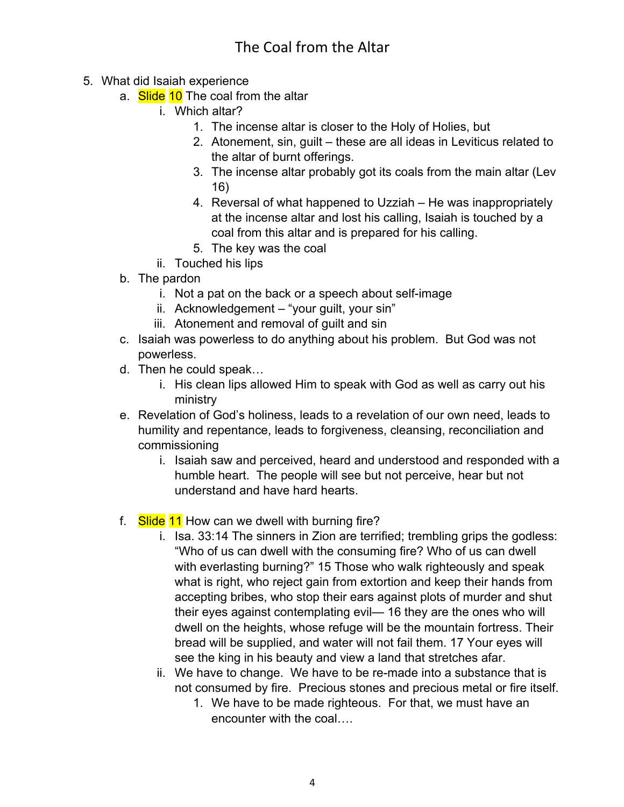- 5. What did Isaiah experience
	- a. **Slide 10** The coal from the altar
		- i. Which altar?
			- 1. The incense altar is closer to the Holy of Holies, but
			- 2. Atonement, sin, guilt these are all ideas in Leviticus related to the altar of burnt offerings.
			- 3. The incense altar probably got its coals from the main altar (Lev 16)
			- 4. Reversal of what happened to Uzziah He was inappropriately at the incense altar and lost his calling, Isaiah is touched by a coal from this altar and is prepared for his calling.
			- 5. The key was the coal
		- ii. Touched his lips
	- b. The pardon
		- i. Not a pat on the back or a speech about self-image
		- ii. Acknowledgement "your guilt, your sin"
		- iii. Atonement and removal of guilt and sin
	- c. Isaiah was powerless to do anything about his problem. But God was not powerless.
	- d. Then he could speak…
		- i. His clean lips allowed Him to speak with God as well as carry out his ministry
	- e. Revelation of God's holiness, leads to a revelation of our own need, leads to humility and repentance, leads to forgiveness, cleansing, reconciliation and commissioning
		- i. Isaiah saw and perceived, heard and understood and responded with a humble heart. The people will see but not perceive, hear but not understand and have hard hearts.
	- f. Slide 11 How can we dwell with burning fire?
		- i. Isa. 33:14 The sinners in Zion are terrified; trembling grips the godless: "Who of us can dwell with the consuming fire? Who of us can dwell with everlasting burning?" 15 Those who walk righteously and speak what is right, who reject gain from extortion and keep their hands from accepting bribes, who stop their ears against plots of murder and shut their eyes against contemplating evil— 16 they are the ones who will dwell on the heights, whose refuge will be the mountain fortress. Their bread will be supplied, and water will not fail them. 17 Your eyes will see the king in his beauty and view a land that stretches afar.
		- ii. We have to change. We have to be re-made into a substance that is not consumed by fire. Precious stones and precious metal or fire itself.
			- 1. We have to be made righteous. For that, we must have an encounter with the coal….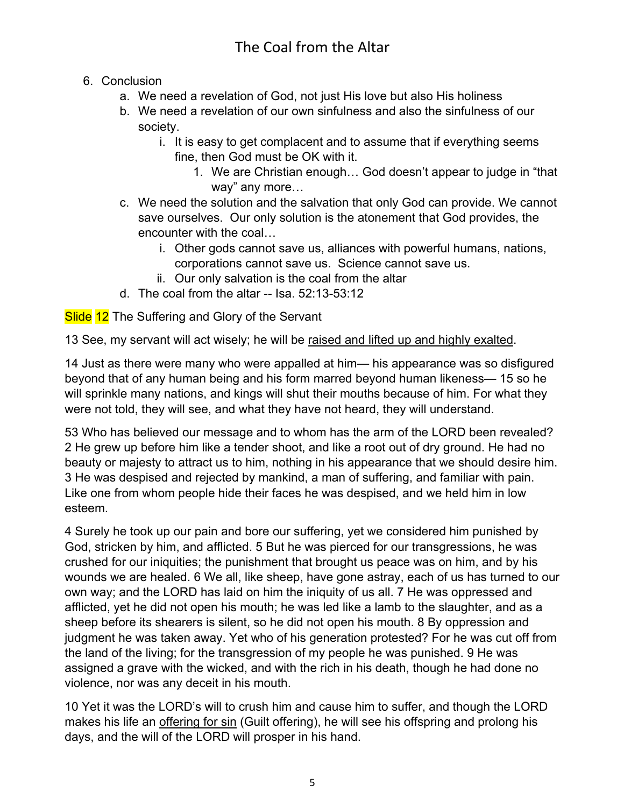### 6. Conclusion

- a. We need a revelation of God, not just His love but also His holiness
- b. We need a revelation of our own sinfulness and also the sinfulness of our society.
	- i. It is easy to get complacent and to assume that if everything seems fine, then God must be OK with it.
		- 1. We are Christian enough… God doesn't appear to judge in "that way" any more…
- c. We need the solution and the salvation that only God can provide. We cannot save ourselves. Our only solution is the atonement that God provides, the encounter with the coal…
	- i. Other gods cannot save us, alliances with powerful humans, nations, corporations cannot save us. Science cannot save us.
	- ii. Our only salvation is the coal from the altar
- d. The coal from the altar -- Isa. 52:13-53:12

**Slide 12** The Suffering and Glory of the Servant

13 See, my servant will act wisely; he will be raised and lifted up and highly exalted.

14 Just as there were many who were appalled at him— his appearance was so disfigured beyond that of any human being and his form marred beyond human likeness— 15 so he will sprinkle many nations, and kings will shut their mouths because of him. For what they were not told, they will see, and what they have not heard, they will understand.

53 Who has believed our message and to whom has the arm of the LORD been revealed? 2 He grew up before him like a tender shoot, and like a root out of dry ground. He had no beauty or majesty to attract us to him, nothing in his appearance that we should desire him. 3 He was despised and rejected by mankind, a man of suffering, and familiar with pain. Like one from whom people hide their faces he was despised, and we held him in low esteem.

4 Surely he took up our pain and bore our suffering, yet we considered him punished by God, stricken by him, and afflicted. 5 But he was pierced for our transgressions, he was crushed for our iniquities; the punishment that brought us peace was on him, and by his wounds we are healed. 6 We all, like sheep, have gone astray, each of us has turned to our own way; and the LORD has laid on him the iniquity of us all. 7 He was oppressed and afflicted, yet he did not open his mouth; he was led like a lamb to the slaughter, and as a sheep before its shearers is silent, so he did not open his mouth. 8 By oppression and judgment he was taken away. Yet who of his generation protested? For he was cut off from the land of the living; for the transgression of my people he was punished. 9 He was assigned a grave with the wicked, and with the rich in his death, though he had done no violence, nor was any deceit in his mouth.

10 Yet it was the LORD's will to crush him and cause him to suffer, and though the LORD makes his life an offering for sin (Guilt offering), he will see his offspring and prolong his days, and the will of the LORD will prosper in his hand.